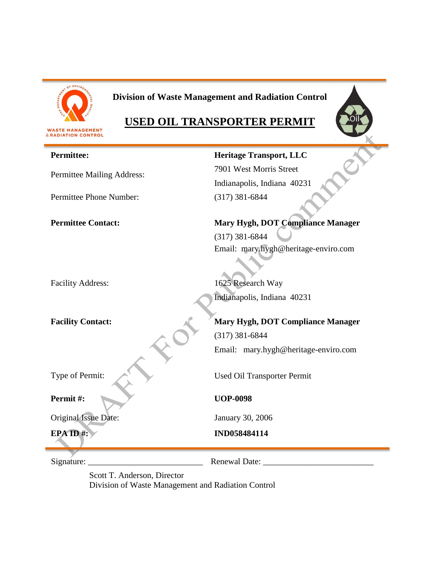

# **Division of Waste Management and Radiation Control**

# **USED OIL TRANSPORTER PERMIT**



| <b>Permittee:</b>          | <b>Heritage Transport, LLC</b>                            |
|----------------------------|-----------------------------------------------------------|
| Permittee Mailing Address: | 7901 West Morris Street                                   |
|                            | Indianapolis, Indiana 40231                               |
| Permittee Phone Number:    | $(317)$ 381-6844                                          |
| <b>Permittee Contact:</b>  | Mary Hygh, DOT Compliance Manager                         |
|                            | $(317)$ 381-6844                                          |
| <b>Facility Address:</b>   | Email: mary.hygh@heritage-enviro.com<br>1625 Research Way |
|                            |                                                           |
|                            | Indianapolis, Indiana 40231                               |
| <b>Facility Contact:</b>   | Mary Hygh, DOT Compliance Manager                         |
|                            | $(317)$ 381-6844                                          |
|                            | Email: mary.hygh@heritage-enviro.com                      |
| Type of Permit:            | Used Oil Transporter Permit                               |
| Permit#:                   | <b>UOP-0098</b>                                           |
| Original Issue Date:       | January 30, 2006                                          |
| EPAID#:                    | IND058484114                                              |
| Signature:                 | <b>Renewal Date:</b>                                      |

Scott T. Anderson, Director Division of Waste Management and Radiation Control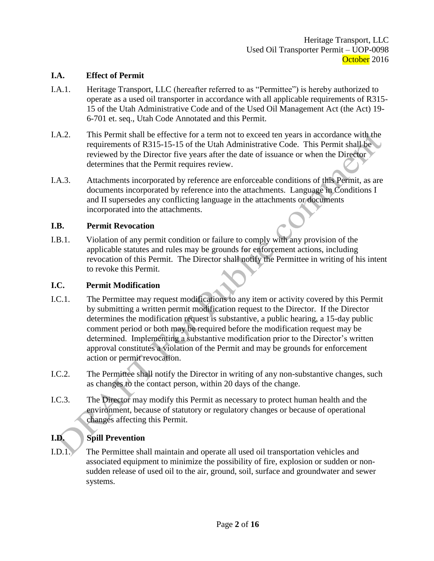#### **I.A. Effect of Permit**

- I.A.1. Heritage Transport, LLC (hereafter referred to as "Permittee") is hereby authorized to operate as a used oil transporter in accordance with all applicable requirements of R315- 15 of the Utah Administrative Code and of the Used Oil Management Act (the Act) 19- 6-701 et. seq., Utah Code Annotated and this Permit.
- I.A.2. This Permit shall be effective for a term not to exceed ten years in accordance with the requirements of R315-15-15 of the Utah Administrative Code. This Permit shall be reviewed by the Director five years after the date of issuance or when the Director determines that the Permit requires review.
- I.A.3. Attachments incorporated by reference are enforceable conditions of this Permit, as are documents incorporated by reference into the attachments. Language in Conditions I and II supersedes any conflicting language in the attachments or documents incorporated into the attachments.

#### **I.B. Permit Revocation**

I.B.1. Violation of any permit condition or failure to comply with any provision of the applicable statutes and rules may be grounds for enforcement actions, including revocation of this Permit. The Director shall notify the Permittee in writing of his intent to revoke this Permit.

#### **I.C. Permit Modification**

- I.C.1. The Permittee may request modifications to any item or activity covered by this Permit by submitting a written permit modification request to the Director. If the Director determines the modification request is substantive, a public hearing, a 15-day public comment period or both may be required before the modification request may be determined. Implementing a substantive modification prior to the Director's written approval constitutes a violation of the Permit and may be grounds for enforcement action or permit revocation.
- I.C.2. The Permittee shall notify the Director in writing of any non-substantive changes, such as changes to the contact person, within 20 days of the change.
- I.C.3. The Director may modify this Permit as necessary to protect human health and the environment, because of statutory or regulatory changes or because of operational changes affecting this Permit.

# **I.D. Spill Prevention**

I.D.1. The Permittee shall maintain and operate all used oil transportation vehicles and associated equipment to minimize the possibility of fire, explosion or sudden or nonsudden release of used oil to the air, ground, soil, surface and groundwater and sewer systems.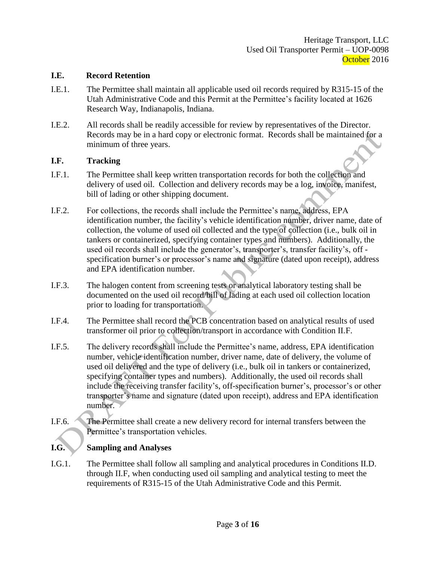#### **I.E. Record Retention**

- I.E.1. The Permittee shall maintain all applicable used oil records required by R315-15 of the Utah Administrative Code and this Permit at the Permittee's facility located at 1626 Research Way, Indianapolis, Indiana.
- I.E.2. All records shall be readily accessible for review by representatives of the Director. Records may be in a hard copy or electronic format. Records shall be maintained for a minimum of three years.

#### **I.F. Tracking**

- I.F.1. The Permittee shall keep written transportation records for both the collection and delivery of used oil. Collection and delivery records may be a log, invoice, manifest, bill of lading or other shipping document.
- I.F.2. For collections, the records shall include the Permittee's name, address, EPA identification number, the facility's vehicle identification number, driver name, date of collection, the volume of used oil collected and the type of collection (i.e., bulk oil in tankers or containerized, specifying container types and numbers). Additionally, the used oil records shall include the generator's, transporter's, transfer facility's, off specification burner's or processor's name and signature (dated upon receipt), address and EPA identification number.
- I.F.3. The halogen content from screening tests or analytical laboratory testing shall be documented on the used oil record/bill of lading at each used oil collection location prior to loading for transportation.
- I.F.4. The Permittee shall record the PCB concentration based on analytical results of used transformer oil prior to collection/transport in accordance with Condition II.F.
- I.F.5. The delivery records shall include the Permittee's name, address, EPA identification number, vehicle identification number, driver name, date of delivery, the volume of used oil delivered and the type of delivery (i.e., bulk oil in tankers or containerized, specifying container types and numbers). Additionally, the used oil records shall include the receiving transfer facility's, off-specification burner's, processor's or other transporter's name and signature (dated upon receipt), address and EPA identification number.
- I.F.6. The Permittee shall create a new delivery record for internal transfers between the Permittee's transportation vehicles.

### **I.G. Sampling and Analyses**

I.G.1. The Permittee shall follow all sampling and analytical procedures in Conditions II.D. through II.F, when conducting used oil sampling and analytical testing to meet the requirements of R315-15 of the Utah Administrative Code and this Permit.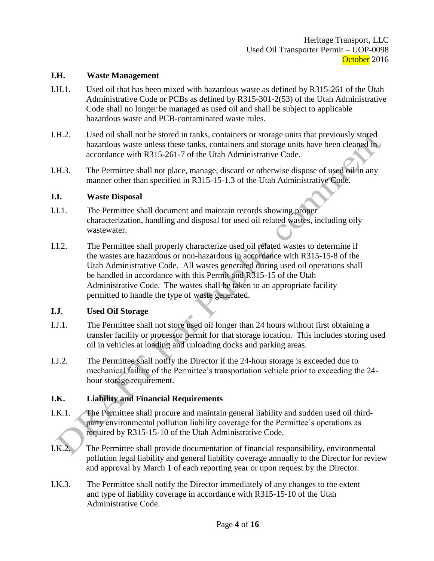#### **I.H. Waste Management**

- I.H.1. Used oil that has been mixed with hazardous waste as defined by R315-261 of the Utah Administrative Code or PCBs as defined by R315-301-2(53) of the Utah Administrative Code shall no longer be managed as used oil and shall be subject to applicable hazardous waste and PCB-contaminated waste rules.
- I.H.2. Used oil shall not be stored in tanks, containers or storage units that previously stored hazardous waste unless these tanks, containers and storage units have been cleaned in accordance with R315-261-7 of the Utah Administrative Code.
- I.H.3. The Permittee shall not place, manage, discard or otherwise dispose of used oil in any manner other than specified in R315-15-1.3 of the Utah Administrative Code.

#### **I.I. Waste Disposal**

- I.I.1. The Permittee shall document and maintain records showing proper characterization, handling and disposal for used oil related wastes, including oily wastewater.
- I.I.2. The Permittee shall properly characterize used oil related wastes to determine if the wastes are hazardous or non-hazardous in accordance with R315-15-8 of the Utah Administrative Code. All wastes generated during used oil operations shall be handled in accordance with this Permit and R315-15 of the Utah Administrative Code. The wastes shall be taken to an appropriate facility permitted to handle the type of waste generated.

#### **I.J**. **Used Oil Storage**

- I.J.1. The Permittee shall not store used oil longer than 24 hours without first obtaining a transfer facility or processor permit for that storage location. This includes storing used oil in vehicles at loading and unloading docks and parking areas.
- I.J.2. The Permittee shall notify the Director if the 24-hour storage is exceeded due to mechanical failure of the Permittee's transportation vehicle prior to exceeding the 24 hour storage requirement.

### **I.K. Liability and Financial Requirements**

- I.K.1. The Permittee shall procure and maintain general liability and sudden used oil thirdparty environmental pollution liability coverage for the Permittee's operations as required by R315-15-10 of the Utah Administrative Code.
- I.K.2. The Permittee shall provide documentation of financial responsibility, environmental pollution legal liability and general liability coverage annually to the Director for review and approval by March 1 of each reporting year or upon request by the Director.
- I.K.3. The Permittee shall notify the Director immediately of any changes to the extent and type of liability coverage in accordance with R315-15-10 of the Utah Administrative Code.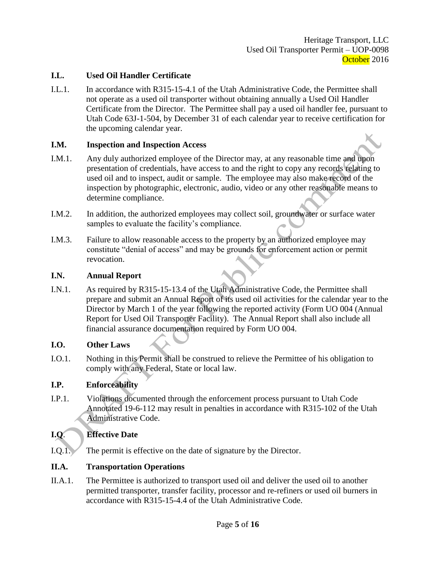### **I.L. Used Oil Handler Certificate**

I.L.1. In accordance with R315-15-4.1 of the Utah Administrative Code, the Permittee shall not operate as a used oil transporter without obtaining annually a Used Oil Handler Certificate from the Director. The Permittee shall pay a used oil handler fee, pursuant to Utah Code 63J-1-504, by December 31 of each calendar year to receive certification for the upcoming calendar year.

#### **I.M. Inspection and Inspection Access**

- I.M.1. Any duly authorized employee of the Director may, at any reasonable time and upon presentation of credentials, have access to and the right to copy any records relating to used oil and to inspect, audit or sample. The employee may also make record of the inspection by photographic, electronic, audio, video or any other reasonable means to determine compliance.
- I.M.2. In addition, the authorized employees may collect soil, groundwater or surface water samples to evaluate the facility's compliance.
- I.M.3. Failure to allow reasonable access to the property by an authorized employee may constitute "denial of access" and may be grounds for enforcement action or permit revocation.

#### **I.N. Annual Report**

I.N.1. As required by R315-15-13.4 of the Utah Administrative Code, the Permittee shall prepare and submit an Annual Report of its used oil activities for the calendar year to the Director by March 1 of the year following the reported activity (Form UO 004 (Annual Report for Used Oil Transporter Facility). The Annual Report shall also include all financial assurance documentation required by Form UO 004.

#### **I.O. Other Laws**

I.O.1. Nothing in this Permit shall be construed to relieve the Permittee of his obligation to comply with any Federal, State or local law.

### **I.P. Enforceability**

I.P.1. Violations documented through the enforcement process pursuant to Utah Code Annotated 19-6-112 may result in penalties in accordance with R315-102 of the Utah Administrative Code.

### **I.Q**. **Effective Date**

I.Q.1. The permit is effective on the date of signature by the Director.

### **II.A. Transportation Operations**

II.A.1. The Permittee is authorized to transport used oil and deliver the used oil to another permitted transporter, transfer facility, processor and re-refiners or used oil burners in accordance with R315-15-4.4 of the Utah Administrative Code.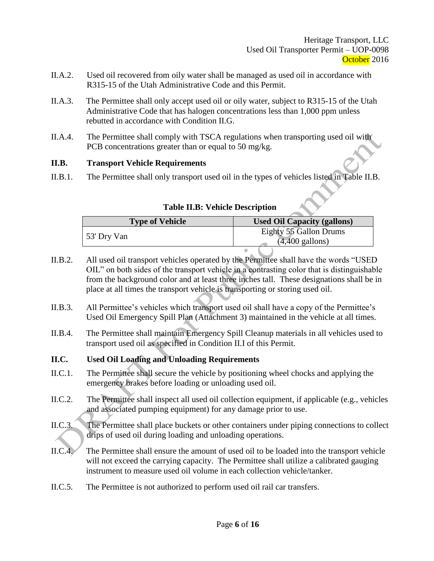- II.A.2. Used oil recovered from oily water shall be managed as used oil in accordance with R315-15 of the Utah Administrative Code and this Permit.
- II.A.3. The Permittee shall only accept used oil or oily water, subject to R315-15 of the Utah Administrative Code that has halogen concentrations less than 1,000 ppm unless rebutted in accordance with Condition II.G.
- II.A.4. The Permittee shall comply with TSCA regulations when transporting used oil with PCB concentrations greater than or equal to 50 mg/kg.

### **II.B. Transport Vehicle Requirements**

II.B.1. The Permittee shall only transport used oil in the types of vehicles listed in Table II.B.

| <b>Type of Vehicle</b> | <b>Used Oil Capacity (gallons)</b>                  |
|------------------------|-----------------------------------------------------|
| 53' Dry Van            | Eighty 55 Gallon Drums<br>$(4,400 \text{ gallons})$ |
|                        |                                                     |

- **Table II.B: Vehicle Description**
- II.B.2. All used oil transport vehicles operated by the Permittee shall have the words "USED OIL" on both sides of the transport vehicle in a contrasting color that is distinguishable from the background color and at least three inches tall. These designations shall be in place at all times the transport vehicle is transporting or storing used oil.
- II.B.3. All Permittee's vehicles which transport used oil shall have a copy of the Permittee's Used Oil Emergency Spill Plan (Attachment 3) maintained in the vehicle at all times.
- II.B.4. The Permittee shall maintain Emergency Spill Cleanup materials in all vehicles used to transport used oil as specified in Condition II.I of this Permit.

### **II.C. Used Oil Loading and Unloading Requirements**

- II.C.1. The Permittee shall secure the vehicle by positioning wheel chocks and applying the emergency brakes before loading or unloading used oil.
- II.C.2. The Permittee shall inspect all used oil collection equipment, if applicable (e.g., vehicles and associated pumping equipment) for any damage prior to use.
- II.C.3. The Permittee shall place buckets or other containers under piping connections to collect drips of used oil during loading and unloading operations.
- II.C.4. The Permittee shall ensure the amount of used oil to be loaded into the transport vehicle will not exceed the carrying capacity. The Permittee shall utilize a calibrated gauging instrument to measure used oil volume in each collection vehicle/tanker.
- II.C.5. The Permittee is not authorized to perform used oil rail car transfers.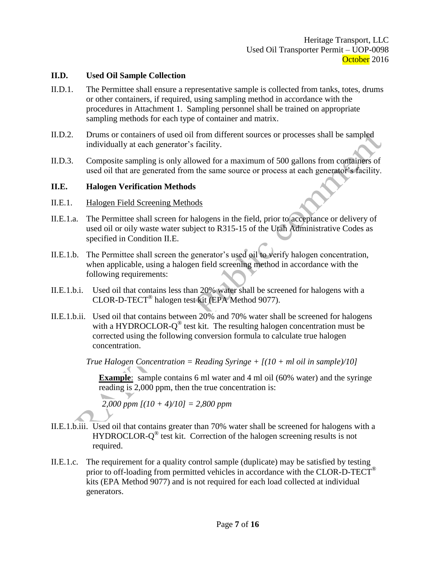#### **II.D. Used Oil Sample Collection**

- II.D.1. The Permittee shall ensure a representative sample is collected from tanks, totes, drums or other containers, if required, using sampling method in accordance with the procedures in Attachment 1. Sampling personnel shall be trained on appropriate sampling methods for each type of container and matrix.
- II.D.2. Drums or containers of used oil from different sources or processes shall be sampled individually at each generator's facility.
- II.D.3. Composite sampling is only allowed for a maximum of 500 gallons from containers of used oil that are generated from the same source or process at each generator's facility.

#### **II.E. Halogen Verification Methods**

- II.E.1. Halogen Field Screening Methods
- II.E.1.a. The Permittee shall screen for halogens in the field, prior to acceptance or delivery of used oil or oily waste water subject to R315-15 of the Utah Administrative Codes as specified in Condition II.E.
- II.E.1.b. The Permittee shall screen the generator's used oil to verify halogen concentration, when applicable, using a halogen field screening method in accordance with the following requirements:
- II.E.1.b.i. Used oil that contains less than 20% water shall be screened for halogens with a CLOR-D-TECT® halogen test kit (EPA Method 9077).
- II.E.1.b.ii. Used oil that contains between 20% and 70% water shall be screened for halogens with a HYDROCLOR- $Q^{\circledast}$  test kit. The resulting halogen concentration must be corrected using the following conversion formula to calculate true halogen concentration.

*True Halogen Concentration = Reading Syringe + [(10 + ml oil in sample)/10]*

**Example**: sample contains 6 ml water and 4 ml oil (60% water) and the syringe reading is 2,000 ppm, then the true concentration is:

*2,000 ppm [(10 + 4)/10] = 2,800 ppm*

- II.E.1.b.iii. Used oil that contains greater than 70% water shall be screened for halogens with a HYDROCLOR-Q<sup>®</sup> test kit. Correction of the halogen screening results is not required.
- II.E.1.c. The requirement for a quality control sample (duplicate) may be satisfied by testing prior to off-loading from permitted vehicles in accordance with the CLOR-D-TECT<sup>®</sup> kits (EPA Method 9077) and is not required for each load collected at individual generators.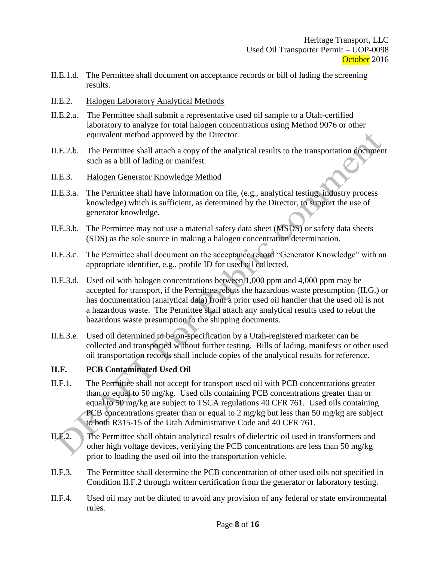- II.E.1.d. The Permittee shall document on acceptance records or bill of lading the screening results.
- II.E.2. Halogen Laboratory Analytical Methods
- II.E.2.a. The Permittee shall submit a representative used oil sample to a Utah-certified laboratory to analyze for total halogen concentrations using Method 9076 or other equivalent method approved by the Director.
- II.E.2.b. The Permittee shall attach a copy of the analytical results to the transportation document such as a bill of lading or manifest.
- II.E.3. Halogen Generator Knowledge Method
- II.E.3.a. The Permittee shall have information on file, (e.g., analytical testing, industry process knowledge) which is sufficient, as determined by the Director, to support the use of generator knowledge.
- II.E.3.b. The Permittee may not use a material safety data sheet (MSDS) or safety data sheets (SDS) as the sole source in making a halogen concentration determination.
- II.E.3.c. The Permittee shall document on the acceptance record "Generator Knowledge" with an appropriate identifier, e.g., profile ID for used oil collected.
- II.E.3.d. Used oil with halogen concentrations between 1,000 ppm and 4,000 ppm may be accepted for transport, if the Permittee rebuts the hazardous waste presumption (II.G.) or has documentation (analytical data) from a prior used oil handler that the used oil is not a hazardous waste. The Permittee shall attach any analytical results used to rebut the hazardous waste presumption to the shipping documents.
- II.E.3.e. Used oil determined to be on-specification by a Utah-registered marketer can be collected and transported without further testing. Bills of lading, manifests or other used oil transportation records shall include copies of the analytical results for reference.

### **II.F. PCB Contaminated Used Oil**

- II.F.1. The Permittee shall not accept for transport used oil with PCB concentrations greater than or equal to 50 mg/kg. Used oils containing PCB concentrations greater than or equal to 50 mg/kg are subject to TSCA regulations 40 CFR 761. Used oils containing PCB concentrations greater than or equal to 2 mg/kg but less than 50 mg/kg are subject to both R315-15 of the Utah Administrative Code and 40 CFR 761.
- II.F.2. The Permittee shall obtain analytical results of dielectric oil used in transformers and other high voltage devices, verifying the PCB concentrations are less than 50 mg/kg prior to loading the used oil into the transportation vehicle.
- II.F.3. The Permittee shall determine the PCB concentration of other used oils not specified in Condition II.F.2 through written certification from the generator or laboratory testing.
- II.F.4. Used oil may not be diluted to avoid any provision of any federal or state environmental rules.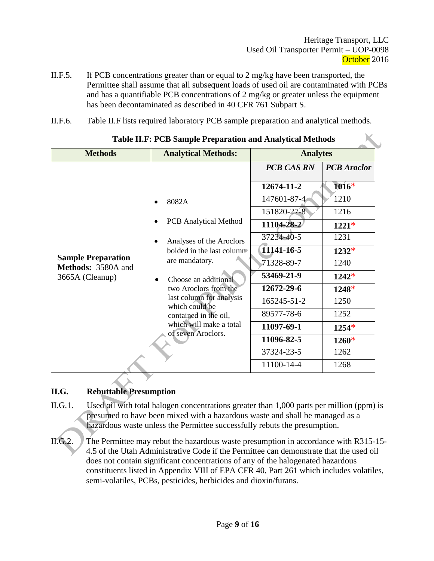- II.F.5. If PCB concentrations greater than or equal to 2 mg/kg have been transported, the Permittee shall assume that all subsequent loads of used oil are contaminated with PCBs and has a quantifiable PCB concentrations of 2 mg/kg or greater unless the equipment has been decontaminated as described in 40 CFR 761 Subpart S.
- II.F.6. Table II.F lists required laboratory PCB sample preparation and analytical methods.

| <b>Table II.F: PCB Sample Preparation and Analytical Methods</b>   |                                                                                                                                                                                                                                                                    |                   |                    |  |
|--------------------------------------------------------------------|--------------------------------------------------------------------------------------------------------------------------------------------------------------------------------------------------------------------------------------------------------------------|-------------------|--------------------|--|
| <b>Methods</b>                                                     | <b>Analytical Methods:</b>                                                                                                                                                                                                                                         | <b>Analytes</b>   |                    |  |
|                                                                    |                                                                                                                                                                                                                                                                    | <b>PCB CAS RN</b> | <b>PCB</b> Aroclor |  |
|                                                                    |                                                                                                                                                                                                                                                                    | 12674-11-2        | $1016*$            |  |
|                                                                    | 8082A<br>$\bullet$<br><b>PCB</b> Analytical Method<br>Analyses of the Aroclors<br>$\bullet$<br>bolded in the last column<br>are mandatory.<br>Choose an additional<br>two Aroclors from the<br>last column for analysis<br>which could be<br>contained in the oil, | 147601-87-4       | 1210               |  |
|                                                                    |                                                                                                                                                                                                                                                                    | 151820-27-8       | 1216               |  |
| <b>Sample Preparation</b><br>Methods: 3580A and<br>3665A (Cleanup) |                                                                                                                                                                                                                                                                    | 11104-28-2        | $1221*$            |  |
|                                                                    |                                                                                                                                                                                                                                                                    | 37234-40-5        | 1231               |  |
|                                                                    |                                                                                                                                                                                                                                                                    | 11141-16-5        | $1232*$            |  |
|                                                                    |                                                                                                                                                                                                                                                                    | 71328-89-7        | 1240               |  |
|                                                                    |                                                                                                                                                                                                                                                                    | 53469-21-9        | $1242*$            |  |
|                                                                    |                                                                                                                                                                                                                                                                    | 12672-29-6        | $1248*$            |  |
|                                                                    |                                                                                                                                                                                                                                                                    | 165245-51-2       | 1250               |  |
|                                                                    |                                                                                                                                                                                                                                                                    | 89577-78-6        | 1252               |  |
|                                                                    | which will make a total<br>of seven Aroclors.                                                                                                                                                                                                                      | 11097-69-1        | $1254*$            |  |
|                                                                    |                                                                                                                                                                                                                                                                    | 11096-82-5        | $1260*$            |  |
|                                                                    |                                                                                                                                                                                                                                                                    | 37324-23-5        | 1262               |  |
|                                                                    |                                                                                                                                                                                                                                                                    | 11100-14-4        | 1268               |  |

**Table II.F: PCB Sample Preparation and Analytical Methods**

### **II.G. Rebuttable Presumption**

II.G.1. Used oil with total halogen concentrations greater than 1,000 parts per million (ppm) is presumed to have been mixed with a hazardous waste and shall be managed as a hazardous waste unless the Permittee successfully rebuts the presumption.

II.G.2. The Permittee may rebut the hazardous waste presumption in accordance with R315-15- 4.5 of the Utah Administrative Code if the Permittee can demonstrate that the used oil does not contain significant concentrations of any of the halogenated hazardous constituents listed in Appendix VIII of EPA CFR 40, Part 261 which includes volatiles, semi-volatiles, PCBs, pesticides, herbicides and dioxin/furans.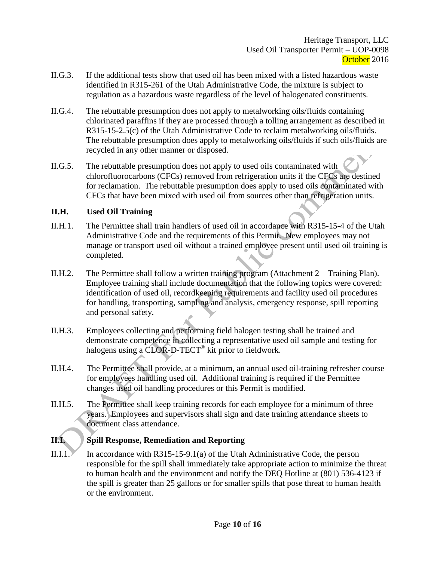- II.G.3. If the additional tests show that used oil has been mixed with a listed hazardous waste identified in R315-261 of the Utah Administrative Code, the mixture is subject to regulation as a hazardous waste regardless of the level of halogenated constituents.
- II.G.4. The rebuttable presumption does not apply to metalworking oils/fluids containing chlorinated paraffins if they are processed through a tolling arrangement as described in R315-15-2.5(c) of the Utah Administrative Code to reclaim metalworking oils/fluids. The rebuttable presumption does apply to metalworking oils/fluids if such oils/fluids are recycled in any other manner or disposed.
- II.G.5. The rebuttable presumption does not apply to used oils contaminated with chlorofluorocarbons (CFCs) removed from refrigeration units if the CFCs are destined for reclamation. The rebuttable presumption does apply to used oils contaminated with CFCs that have been mixed with used oil from sources other than refrigeration units.

### **II.H. Used Oil Training**

- II.H.1. The Permittee shall train handlers of used oil in accordance with R315-15-4 of the Utah Administrative Code and the requirements of this Permit. New employees may not manage or transport used oil without a trained employee present until used oil training is completed.
- II.H.2. The Permittee shall follow a written training program (Attachment 2 Training Plan). Employee training shall include documentation that the following topics were covered: identification of used oil, recordkeeping requirements and facility used oil procedures for handling, transporting, sampling and analysis, emergency response, spill reporting and personal safety.
- II.H.3. Employees collecting and performing field halogen testing shall be trained and demonstrate competence in collecting a representative used oil sample and testing for halogens using a CLOR-D-TECT<sup>®</sup> kit prior to fieldwork.
- II.H.4. The Permittee shall provide, at a minimum, an annual used oil-training refresher course for employees handling used oil. Additional training is required if the Permittee changes used oil handling procedures or this Permit is modified.
- II.H.5. The Permittee shall keep training records for each employee for a minimum of three years. Employees and supervisors shall sign and date training attendance sheets to document class attendance.

### **II.I. Spill Response, Remediation and Reporting**

II.I.1. In accordance with R315-15-9.1(a) of the Utah Administrative Code, the person responsible for the spill shall immediately take appropriate action to minimize the threat to human health and the environment and notify the DEQ Hotline at (801) 536-4123 if the spill is greater than 25 gallons or for smaller spills that pose threat to human health or the environment.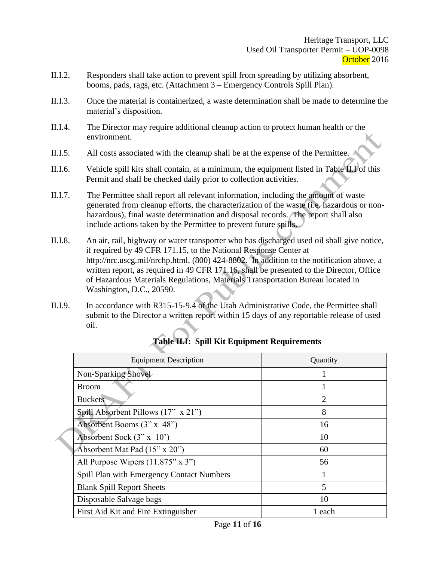- II.I.2. Responders shall take action to prevent spill from spreading by utilizing absorbent, booms, pads, rags, etc. (Attachment 3 – Emergency Controls Spill Plan).
- II.I.3. Once the material is containerized, a waste determination shall be made to determine the material's disposition.
- II.I.4. The Director may require additional cleanup action to protect human health or the environment.
- II.I.5. All costs associated with the cleanup shall be at the expense of the Permittee.
- II.I.6. Vehicle spill kits shall contain, at a minimum, the equipment listed in Table II.I of this Permit and shall be checked daily prior to collection activities.
- II.I.7. The Permittee shall report all relevant information, including the amount of waste generated from cleanup efforts, the characterization of the waste (i.e. hazardous or nonhazardous), final waste determination and disposal records. The report shall also include actions taken by the Permittee to prevent future spills.
- II.I.8. An air, rail, highway or water transporter who has discharged used oil shall give notice, if required by 49 CFR 171.15, to the National Response Center at http://nrc.uscg.mil/nrchp.html, (800) 424-8802. In addition to the notification above, a written report, as required in 49 CFR 171.16, shall be presented to the Director, Office of Hazardous Materials Regulations, Materials Transportation Bureau located in Washington, D.C., 20590.
- II.I.9. In accordance with R315-15-9.4 of the Utah Administrative Code, the Permittee shall submit to the Director a written report within 15 days of any reportable release of used oil.

| <b>Equipment Description</b>                     | Quantity       |
|--------------------------------------------------|----------------|
| Non-Sparking Shovel                              |                |
| <b>Broom</b>                                     |                |
| <b>Buckets</b>                                   | $\overline{2}$ |
| Spill Absorbent Pillows (17" x 21")              | 8              |
| Absorbent Booms (3" x 48")                       | 16             |
| Absorbent Sock $(3" \times 10')$                 | 10             |
| Absorbent Mat Pad (15" x 20")                    | 60             |
| All Purpose Wipers $(11.875" \times 3")$         | 56             |
| <b>Spill Plan with Emergency Contact Numbers</b> |                |
| <b>Blank Spill Report Sheets</b>                 | 5              |
| Disposable Salvage bags                          | 10             |
| First Aid Kit and Fire Extinguisher              | 1 each         |

# **Table II.I: Spill Kit Equipment Requirements**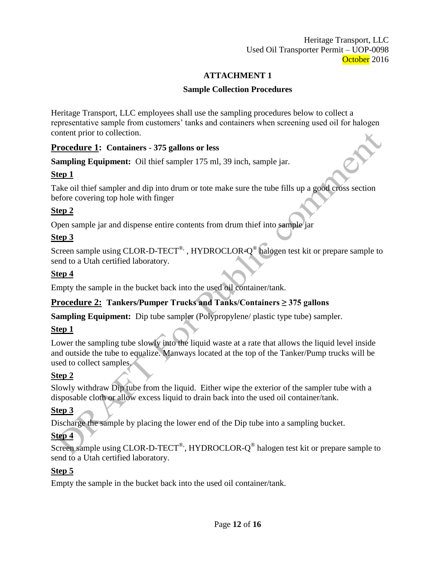Heritage Transport, LLC Used Oil Transporter Permit – UOP-0098 October 2016

### **ATTACHMENT 1**

### **Sample Collection Procedures**

Heritage Transport, LLC employees shall use the sampling procedures below to collect a representative sample from customers' tanks and containers when screening used oil for halogen content prior to collection.

### **Procedure 1: Containers - 375 gallons or less**

**Sampling Equipment:** Oil thief sampler 175 ml, 39 inch, sample jar.

### **Step 1**

Take oil thief sampler and dip into drum or tote make sure the tube fills up a good cross section before covering top hole with finger

# **Step 2**

Open sample jar and dispense entire contents from drum thief into sample jar

# **Step 3**

Screen sample using CLOR-D-TECT<sup>®,</sup>, HYDROCLOR- $Q^@$  halogen test kit or prepare sample to send to a Utah certified laboratory.

### **Step 4**

Empty the sample in the bucket back into the used oil container/tank.

# **Procedure 2: Tankers/Pumper Trucks and Tanks/Containers ≥ 375 gallons**

**Sampling Equipment:** Dip tube sampler (Polypropylene/ plastic type tube) sampler.

# **Step 1**

Lower the sampling tube slowly into the liquid waste at a rate that allows the liquid level inside and outside the tube to equalize. Manways located at the top of the Tanker/Pump trucks will be used to collect samples.

# **Step 2**

Slowly withdraw Dip tube from the liquid. Either wipe the exterior of the sampler tube with a disposable cloth or allow excess liquid to drain back into the used oil container/tank.

# **Step 3**

Discharge the sample by placing the lower end of the Dip tube into a sampling bucket.

# **Step 4**

Screen sample using CLOR-D-TECT<sup>®</sup>, HYDROCLOR- $Q^@$  halogen test kit or prepare sample to send to a Utah certified laboratory.

# **Step 5**

Empty the sample in the bucket back into the used oil container/tank.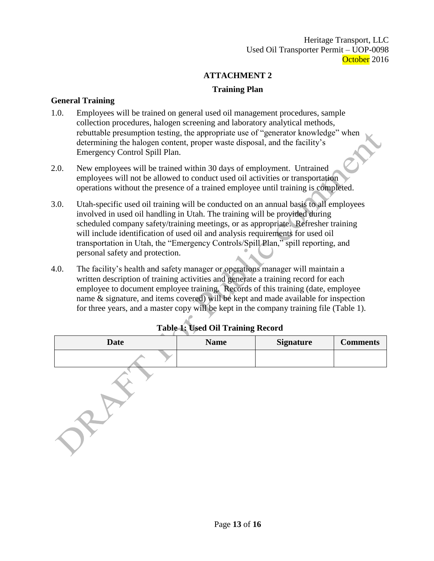Heritage Transport, LLC Used Oil Transporter Permit – UOP-0098 October 2016

### **ATTACHMENT 2**

### **Training Plan**

#### **General Training**

- 1.0. Employees will be trained on general used oil management procedures, sample collection procedures, halogen screening and laboratory analytical methods, rebuttable presumption testing, the appropriate use of "generator knowledge" when determining the halogen content, proper waste disposal, and the facility's Emergency Control Spill Plan.
- 2.0. New employees will be trained within 30 days of employment. Untrained employees will not be allowed to conduct used oil activities or transportation operations without the presence of a trained employee until training is completed.
- 3.0. Utah-specific used oil training will be conducted on an annual basis to all employees involved in used oil handling in Utah. The training will be provided during scheduled company safety/training meetings, or as appropriate. Refresher training will include identification of used oil and analysis requirements for used oil transportation in Utah, the "Emergency Controls/Spill Plan," spill reporting, and personal safety and protection.
- 4.0. The facility's health and safety manager or operations manager will maintain a written description of training activities and generate a training record for each employee to document employee training. Records of this training (date, employee name & signature, and items covered) will be kept and made available for inspection for three years, and a master copy will be kept in the company training file (Table 1).

| $\circ$     |             |                  |                 |
|-------------|-------------|------------------|-----------------|
| <b>Date</b> | <b>Name</b> | <b>Signature</b> | <b>Comments</b> |
|             |             |                  |                 |
|             |             |                  |                 |

### **Table 1: Used Oil Training Record**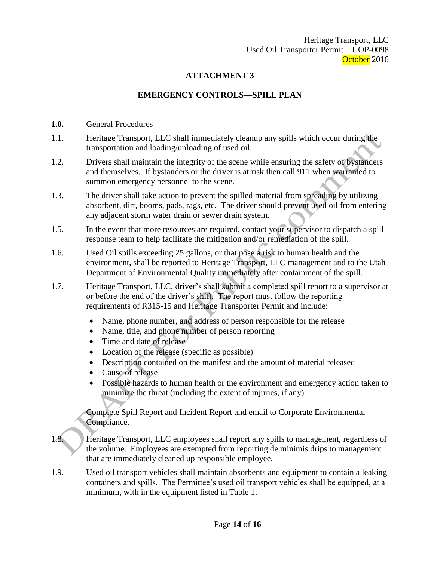Heritage Transport, LLC Used Oil Transporter Permit – UOP-0098 October 2016

### **ATTACHMENT 3**

### **EMERGENCY CONTROLS—SPILL PLAN**

- **1.0.** General Procedures
- 1.1. Heritage Transport, LLC shall immediately cleanup any spills which occur during the transportation and loading/unloading of used oil.
- 1.2. Drivers shall maintain the integrity of the scene while ensuring the safety of bystanders and themselves. If bystanders or the driver is at risk then call 911 when warranted to summon emergency personnel to the scene.
- 1.3. The driver shall take action to prevent the spilled material from spreading by utilizing absorbent, dirt, booms, pads, rags, etc. The driver should prevent used oil from entering any adjacent storm water drain or sewer drain system.
- 1.5. In the event that more resources are required, contact your supervisor to dispatch a spill response team to help facilitate the mitigation and/or remediation of the spill.
- 1.6. Used Oil spills exceeding 25 gallons, or that pose a risk to human health and the environment, shall be reported to Heritage Transport, LLC management and to the Utah Department of Environmental Quality immediately after containment of the spill.
- 1.7. Heritage Transport, LLC, driver's shall submit a completed spill report to a supervisor at or before the end of the driver's shift. The report must follow the reporting requirements of R315-15 and Heritage Transporter Permit and include:
	- Name, phone number, and address of person responsible for the release
	- Name, title, and phone number of person reporting
	- Time and date of release
	- Location of the release (specific as possible)
	- Description contained on the manifest and the amount of material released
	- Cause of release
	- Possible hazards to human health or the environment and emergency action taken to minimize the threat (including the extent of injuries, if any)

Complete Spill Report and Incident Report and email to Corporate Environmental Compliance.

- 1.8. Heritage Transport, LLC employees shall report any spills to management, regardless of the volume. Employees are exempted from reporting de minimis drips to management that are immediately cleaned up responsible employee.
- 1.9. Used oil transport vehicles shall maintain absorbents and equipment to contain a leaking containers and spills. The Permittee's used oil transport vehicles shall be equipped, at a minimum, with in the equipment listed in Table 1.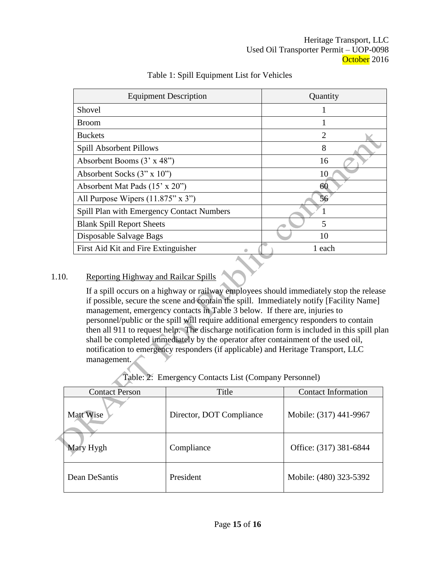| <b>Equipment Description</b>                     | Quantity |
|--------------------------------------------------|----------|
| Shovel                                           |          |
| <b>Broom</b>                                     |          |
| <b>Buckets</b>                                   | 2        |
| Spill Absorbent Pillows                          | 8        |
| Absorbent Booms (3' x 48")                       | 16       |
| Absorbent Socks $(3" \times 10")$                | 10       |
| Absorbent Mat Pads (15' x 20")                   | 60       |
| All Purpose Wipers $(11.875" \times 3")$         | 56       |
| <b>Spill Plan with Emergency Contact Numbers</b> |          |
| <b>Blank Spill Report Sheets</b>                 | 5        |
| Disposable Salvage Bags                          | 10       |
| First Aid Kit and Fire Extinguisher              | 1 each   |

### Table 1: Spill Equipment List for Vehicles

### 1.10. Reporting Highway and Railcar Spills

If a spill occurs on a highway or railway employees should immediately stop the release if possible, secure the scene and contain the spill. Immediately notify [Facility Name] management, emergency contacts in Table 3 below. If there are, injuries to personnel/public or the spill will require additional emergency responders to contain then all 911 to request help. The discharge notification form is included in this spill plan shall be completed immediately by the operator after containment of the used oil, notification to emergency responders (if applicable) and Heritage Transport, LLC management.

Table: 2: Emergency Contacts List (Company Personnel)

|  | <b>Contact Person</b> | Title                    | <b>Contact Information</b> |
|--|-----------------------|--------------------------|----------------------------|
|  | Matt Wise             | Director, DOT Compliance | Mobile: (317) 441-9967     |
|  | Mary Hygh             | Compliance               | Office: (317) 381-6844     |
|  | Dean DeSantis         | President                | Mobile: (480) 323-5392     |